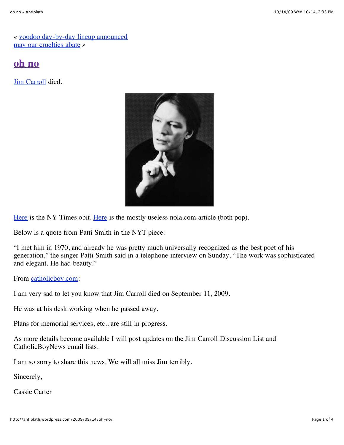« [voodoo day-by-day lineup announced](http://antiplath.wordpress.com/2009/09/10/voodoo-day-by-day-lineup-announced/) [may our cruelties abate](http://antiplath.wordpress.com/2009/09/14/may-our-cruelties-abate/) »

# **[oh no](http://antiplath.wordpress.com/2009/09/14/oh-no/)**

**Jim Carroll** died.



[Here](http://www.nytimes.com/2009/09/14/books/14carroll.html) is the NY Times obit. [Here](http://www.nola.com/music/index.ssf/2009/09/punk_rock_poet_jim_carroll_dea.html) is the mostly useless nola.com article (both pop).

Below is a quote from Patti Smith in the NYT piece:

"I met him in 1970, and already he was pretty much universally recognized as the best poet of his generation," the singer Patti Smith said in a telephone interview on Sunday. "The work was sophisticated and elegant. He had beauty."

From [catholicboy.com](http://www.catholicboy.com/):

I am very sad to let you know that Jim Carroll died on September 11, 2009.

He was at his desk working when he passed away.

Plans for memorial services, etc., are still in progress.

As more details become available I will post updates on the Jim Carroll Discussion List and CatholicBoyNews email lists.

I am so sorry to share this news. We will all miss Jim terribly.

Sincerely,

Cassie Carter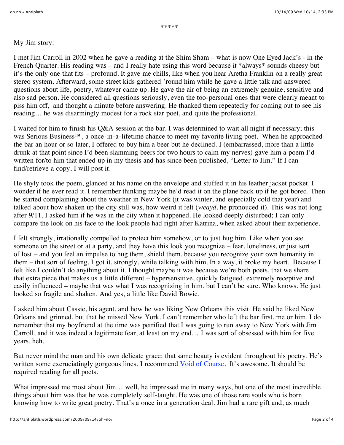#### My Jim story:

I met Jim Carroll in 2002 when he gave a reading at the Shim Sham – what is now One Eyed Jack's - in the French Quarter. His reading was – and I really hate using this word because it \*always\* sounds cheesy but it's the only one that fits – profound. It gave me chills, like when you hear Aretha Franklin on a really great stereo system. Afterward, some street kids gathered 'round him while he gave a little talk and answered questions about life, poetry, whatever came up. He gave the air of being an extremely genuine, sensitive and also sad person. He considered all questions seriously, even the too-personal ones that were clearly meant to piss him off, and thought a minute before answering. He thanked them repeatedly for coming out to see his reading… he was disarmingly modest for a rock star poet, and quite the professional.

I waited for him to finish his Q&A session at the bar. I was determined to wait all night if necessary; this was Serious Business™, a once-in-a-lifetime chance to meet my favorite living poet. When he approached the bar an hour or so later, I offered to buy him a beer but he declined. I (embarrassed, more than a little drunk at that point since I'd been slamming beers for two hours to calm my nerves) gave him a poem I'd written for/to him that ended up in my thesis and has since been published, "Letter to Jim." If I can find/retrieve a copy, I will post it.

He shyly took the poem, glanced at his name on the envelope and stuffed it in his leather jacket pocket. I wonder if he ever read it. I remember thinking maybe he'd read it on the plane back up if he got bored. Then he started complaining about the weather in New York (it was winter, and especially cold that year) and talked about how shaken up the city still was, how weird it felt (*weayd*, he pronouced it). This was not long after 9/11. I asked him if he was in the city when it happened. He looked deeply disturbed; I can only compare the look on his face to the look people had right after Katrina, when asked about their experience.

I felt strongly, irrationally compelled to protect him somehow, or to just hug him. Like when you see someone on the street or at a party, and they have this look you recognize – fear, loneliness, or just sort of lost – and you feel an impulse to hug them, shield them, because you recognize your own humanity in them – that sort of feeling. I got it, strongly, while talking with him. In a way, it broke my heart. Because I felt like I couldn't do anything about it. I thought maybe it was because we're both poets, that we share that extra piece that makes us a little different – hypersensitive, quickly fatigued, extremely receptive and easily influenced – maybe that was what I was recognizing in him, but I can't be sure. Who knows. He just looked so fragile and shaken. And yes, a little like David Bowie.

I asked him about Cassie, his agent, and how he was liking New Orleans this visit. He said he liked New Orleans and grinned, but that he missed New York. I can't remember who left the bar first, me or him. I do remember that my boyfriend at the time was petrified that I was going to run away to New York with Jim Carroll, and it was indeed a legitimate fear, at least on my end… I was sort of obsessed with him for five years. heh.

But never mind the man and his own delicate grace; that same beauty is evident throughout his poetry. He's written some excruciatingly gorgeous lines. I recommend [Void of Course](http://www.amazon.com/Void-Course-Poets-Penguin-Carroll/dp/0140589090). It's awesome. It should be required reading for all poets.

What impressed me most about Jim... well, he impressed me in many ways, but one of the most incredible things about him was that he was completely self-taught. He was one of those rare souls who is born knowing how to write great poetry. That's a once in a generation deal. Jim had a rare gift and, as much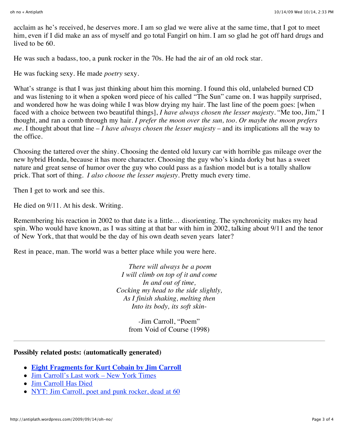acclaim as he's received, he deserves more. I am so glad we were alive at the same time, that I got to meet him, even if I did make an ass of myself and go total Fangirl on him. I am so glad he got off hard drugs and lived to be 60.

He was such a badass, too, a punk rocker in the 70s. He had the air of an old rock star.

He was fucking sexy. He made *poetry* sexy.

What's strange is that I was just thinking about him this morning. I found this old, unlabeled burned CD and was listening to it when a spoken word piece of his called "The Sun" came on. I was happily surprised, and wondered how he was doing while I was blow drying my hair. The last line of the poem goes: [when faced with a choice between two beautiful things], *I have always chosen the lesser majesty*. "Me too, Jim," I thought, and ran a comb through my hair. *I prefer the moon over the sun, too. Or maybe the moon prefers me.* I thought about that line – *I have always chosen the lesser majesty* – and its implications all the way to the office.

Choosing the tattered over the shiny. Choosing the dented old luxury car with horrible gas mileage over the new hybrid Honda, because it has more character. Choosing the guy who's kinda dorky but has a sweet nature and great sense of humor over the guy who could pass as a fashion model but is a totally shallow prick. That sort of thing. *I also choose the lesser majesty*. Pretty much every time.

Then I get to work and see this.

He died on 9/11. At his desk. Writing.

Remembering his reaction in 2002 to that date is a little… disorienting. The synchronicity makes my head spin. Who would have known, as I was sitting at that bar with him in 2002, talking about 9/11 and the tenor of New York, that that would be the day of his own death seven years later?

Rest in peace, man. The world was a better place while you were here.

*There will always be a poem I will climb on top of it and come In and out of time, Cocking my head to the side slightly, As I finish shaking, melting then Into its body, its soft skin*-

> -Jim Carroll, "Poem" from Void of Course (1998)

#### **Possibly related posts: (automatically generated)**

- **[Eight Fragments for Kurt Cobain by Jim Carroll](http://antiplath.wordpress.com/2009/09/29/eight-fragments-for-kurt-cobain-by-jim-carroll/)**
- [Jim Carroll's Last work New York Times](http://fischerzed.wordpress.com/2009/09/27/jim-carrolls-last-work-new-york-times/)
- [Jim Carroll Has Died](http://rockrollblog.wordpress.com/2009/09/13/jim-carroll-has-died/)
- [NYT: Jim Carroll, poet and punk rocker, dead at 60](http://www.popeater.com/article/nyt-jim-carroll-poet-and-punk-rocker/668042?icid=sphere_wpcom_inline)